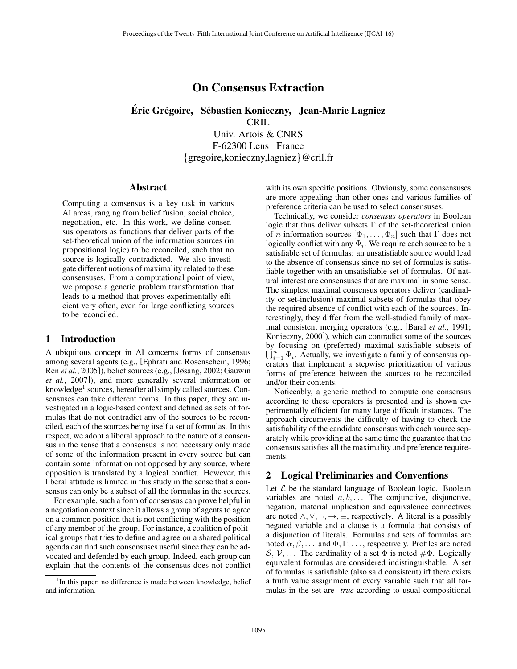# On Consensus Extraction

Éric Grégoire, Sébastien Konieczny, Jean-Marie Lagniez

CRIL

Univ. Artois & CNRS F-62300 Lens France *{*gregoire,konieczny,lagniez*}*@cril.fr

#### Abstract

Computing a consensus is a key task in various AI areas, ranging from belief fusion, social choice, negotiation, etc. In this work, we define consensus operators as functions that deliver parts of the set-theoretical union of the information sources (in propositional logic) to be reconciled, such that no source is logically contradicted. We also investigate different notions of maximality related to these consensuses. From a computational point of view, we propose a generic problem transformation that leads to a method that proves experimentally efficient very often, even for large conflicting sources to be reconciled.

## 1 Introduction

A ubiquitous concept in AI concerns forms of consensus among several agents (e.g., [Ephrati and Rosenschein, 1996; Ren *et al.*, 2005]), belief sources (e.g., [Jøsang, 2002; Gauwin *et al.*, 2007]), and more generally several information or knowledge<sup>1</sup> sources, hereafter all simply called sources. Consensuses can take different forms. In this paper, they are investigated in a logic-based context and defined as sets of formulas that do not contradict any of the sources to be reconciled, each of the sources being itself a set of formulas. In this respect, we adopt a liberal approach to the nature of a consensus in the sense that a consensus is not necessary only made of some of the information present in every source but can contain some information not opposed by any source, where opposition is translated by a logical conflict. However, this liberal attitude is limited in this study in the sense that a consensus can only be a subset of all the formulas in the sources.

For example, such a form of consensus can prove helpful in a negotiation context since it allows a group of agents to agree on a common position that is not conflicting with the position of any member of the group. For instance, a coalition of political groups that tries to define and agree on a shared political agenda can find such consensuses useful since they can be advocated and defended by each group. Indeed, each group can explain that the contents of the consensus does not conflict with its own specific positions. Obviously, some consensuses are more appealing than other ones and various families of preference criteria can be used to select consensuses.

Technically, we consider *consensus operators* in Boolean logic that thus deliver subsets  $\Gamma$  of the set-theoretical union of *n* information sources  $[\Phi_1, \ldots, \Phi_n]$  such that  $\Gamma$  does not logically conflict with any  $\Phi_i$ . We require each source to be a satisfiable set of formulas: an unsatisfiable source would lead to the absence of consensus since no set of formulas is satisfiable together with an unsatisfiable set of formulas. Of natural interest are consensuses that are maximal in some sense. The simplest maximal consensus operators deliver (cardinality or set-inclusion) maximal subsets of formulas that obey the required absence of conflict with each of the sources. Interestingly, they differ from the well-studied family of maximal consistent merging operators (e.g., [Baral *et al.*, 1991; Konieczny, 2000]), which can contradict some of the sources by focusing on (preferred) maximal satisfiable subsets of  $\bigcup_{i=1}^{n} \Phi_i$ . Actually, we investigate a family of consensus operators that implement a stepwise prioritization of various forms of preference between the sources to be reconciled and/or their contents.

Noticeably, a generic method to compute one consensus according to these operators is presented and is shown experimentally efficient for many large difficult instances. The approach circumvents the difficulty of having to check the satisfiability of the candidate consensus with each source separately while providing at the same time the guarantee that the consensus satisfies all the maximality and preference requirements.

## 2 Logical Preliminaries and Conventions

Let *L* be the standard language of Boolean logic. Boolean variables are noted  $a, b, \ldots$  The conjunctive, disjunctive, negation, material implication and equivalence connectives are noted  $\land$ ,  $\lor$ ,  $\neg$ ,  $\Rightarrow$ ,  $\equiv$ , respectively. A literal is a possibly negated variable and a clause is a formula that consists of a disjunction of literals. Formulas and sets of formulas are noted  $\alpha, \beta, \ldots$  and  $\Phi, \Gamma, \ldots$ , respectively. Profiles are noted  $S, V, \ldots$  The cardinality of a set  $\Phi$  is noted  $\#\Phi$ . Logically equivalent formulas are considered indistinguishable. A set of formulas is satisfiable (also said consistent) iff there exists a truth value assignment of every variable such that all formulas in the set are *true* according to usual compositional

<sup>&</sup>lt;sup>1</sup>In this paper, no difference is made between knowledge, belief and information.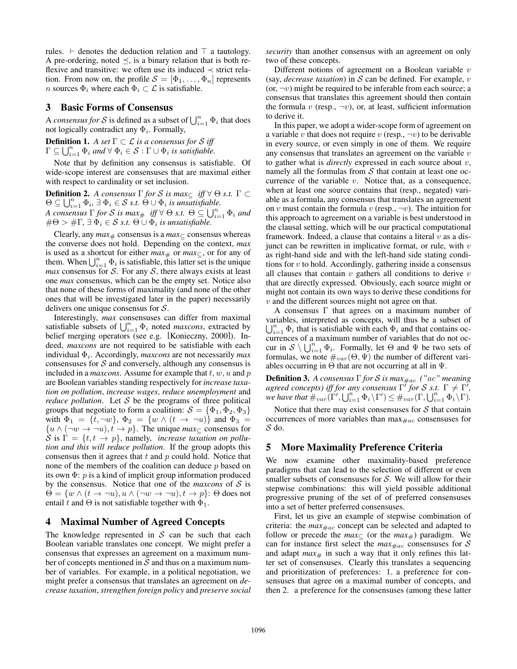rules.  $\vdash$  denotes the deduction relation and  $\top$  a tautology. A pre-ordering, noted  $\preceq$ , is a binary relation that is both reflexive and transitive: we often use its induced  $\prec$  strict relation. From now on, the profile  $S = [\Phi_1, \ldots, \Phi_n]$  represents *n* sources  $\Phi_i$  where each  $\Phi_i \subset \mathcal{L}$  is satisfiable.

#### 3 Basic Forms of Consensus

A *consensus for* S is defined as a subset of  $\bigcup_{i=1}^{n} \Phi_i$  that does not logically contradict any  $\Phi_i$ . Formally,

**Definition 1.** A set  $\Gamma \subset \mathcal{L}$  is a consensus for S iff  $\Gamma \subseteq \bigcup_{i=1}^n \Phi_i$  and  $\forall \Phi_i \in \mathcal{S} : \Gamma \cup \Phi_i$  is satisfiable.

Note that by definition any consensus is satisfiable. Of wide-scope interest are consensuses that are maximal either with respect to cardinality or set inclusion.

**Definition 2.** *A consensus*  $\Gamma$  *for S is max* $\subseteq$  *iff*  $\forall \Theta$  *s.t.*  $\Gamma \subset \Theta$  $\Theta \subseteq \bigcup_{i=1}^n \Phi_i$ ,  $\exists \Phi_i \in S$  *s.t.*  $\Theta \cup \Phi_i$  is unsatisfiable. *A consensus*  $\Gamma$  *for S is max* # *iff*  $\forall \Theta$  *s.t.*  $\Theta \subseteq \bigcup_{i=1}^n \Phi_i$  and  $\#\Theta > \#\Gamma$ ,  $\exists \check{\Phi}_i \in \mathcal{S}$  *s.t.*  $\Theta \cup \Phi_i$  *is unsatisfiable.* 

Clearly, any  $max_{\#}$  consensus is a  $max_{\sub{c}}$  consensus whereas the converse does not hold. Depending on the context, *max* is used as a shortcut for either  $max_{\pm}$  or  $max_{\pm}$ , or for any of them. When  $\bigcup_{i=1}^n \Phi_i$  is satisfiable, this latter set is the unique *max* consensus for *S*. For any *S*, there always exists at least one *max* consensus, which can be the empty set. Notice also that none of these forms of maximality (and none of the other ones that will be investigated later in the paper) necessarily delivers one unique consensus for *S*.

Interestingly, *max* consensuses can differ from maximal satisfiable subsets of  $\bigcup_{i=1}^n \Phi_i$  noted *maxcons*, extracted by belief merging operators (see e.g. [Konieczny, 2000]). Indeed, *maxcons* are not required to be satisfiable with each individual  $\Phi_i$ . Accordingly, *maxcons* are not necessarily *max* consensuses for *S* and conversely, although any consensus is included in a *maxcons*. Assume for example that *t, w, u* and *p* are Boolean variables standing respectively for *increase taxation on pollution*, *increase wages*, *reduce unemployment* and *reduce pollution.* Let S be the programs of three political groups that negotiate to form a coalition:  $S = {\Phi_1, \Phi_2, \Phi_3}$ with  $\Phi_1 = \{t, \neg w\}$ ,  $\Phi_2 = \{w \wedge (t \rightarrow \neg u)\}$  and  $\Phi_3 =$  $\{u \wedge (\neg w \rightarrow \neg u), t \rightarrow p\}$ . The unique *max*<sub>⊂</sub> consensus for S is  $\Gamma = \{t, t \to p\}$ , namely, *increase taxation on pollution and this will reduce pollution*. If the group adopts this consensus then it agrees that *t* and *p* could hold. Notice that none of the members of the coalition can deduce *p* based on its own  $\Phi$ : *p* is a kind of implicit group information produced by the consensus. Notice that one of the *maxcons* of *S* is  $\Theta = \{w \wedge (t \to \neg u), u \wedge (\neg w \to \neg u), t \to p\}$ :  $\Theta$  does not entail *t* and  $\Theta$  is not satisfiable together with  $\Phi_1$ .

## 4 Maximal Number of Agreed Concepts

The knowledge represented in  $S$  can be such that each Boolean variable translates one concept. We might prefer a consensus that expresses an agreement on a maximum number of concepts mentioned in *S* and thus on a maximum number of variables. For example, in a political negotiation, we might prefer a consensus that translates an agreement on *decrease taxation*, *strengthen foreign policy* and *preserve social* *security* than another consensus with an agreement on only two of these concepts.

Different notions of agreement on a Boolean variable *v* (say, *decrease taxation*) in *S* can be defined. For example, *v* (or,  $\neg v$ ) might be required to be inferable from each source; a consensus that translates this agreement should then contain the formula  $v$  (resp.,  $\neg v$ ), or, at least, sufficient information to derive it.

In this paper, we adopt a wider-scope form of agreement on a variable *v* that does not require *v* (resp.,  $\neg v$ ) to be derivable in every source, or even simply in one of them. We require any consensus that translates an agreement on the variable *v* to gather what is *directly* expressed in each source about *v*, namely all the formulas from *S* that contain at least one occurrence of the variable *v*. Notice that, as a consequence, when at least one source contains that (resp., negated) variable as a formula, any consensus that translates an agreement on *v* must contain the formula *v* (resp.,  $\neg v$ ). The intuition for this approach to agreement on a variable is best understood in the clausal setting, which will be our practical computational framework. Indeed, a clause that contains a literal *v* as a disjunct can be rewritten in implicative format, or rule, with *v* as right-hand side and with the left-hand side stating conditions for *v* to hold. Accordingly, gathering inside a consensus all clauses that contain *v* gathers all conditions to derive *v* that are directly expressed. Obviously, each source might or might not contain its own ways to derive these conditions for *v* and the different sources might not agree on that.

A consensus  $\Gamma$  that agrees on a maximum number of variables, interpreted as concepts, will thus be a subset of  $\bigcup_{i=1}^{n} \Phi_i$  that is satisfiable with each  $\Phi_i$  and that contains occurrences of a maximum number of variables that do not occur in  $S \setminus \bigcup_{i=1}^n \Phi_i$ . Formally, let  $\Theta$  and  $\Psi$  be two sets of formulas, we note  $\#_{var}(\Theta, \Psi)$  the number of different variables occurring in  $\Theta$  that are not occurring at all in  $\Psi$ .

**Definition 3.** A consensus  $\Gamma$  for S is max<sub>#ac</sub> ("ac" meaning *agreed concepts) iff for any consensus*  $\Gamma'$  *for S s.t.*  $\Gamma \neq \Gamma'$ , we have that  $\#_{var}(\Gamma', \bigcup_{i=1}^n \Phi_i \setminus \Gamma') \leq \#_{var}(\Gamma, \bigcup_{i=1}^n \Phi_i \setminus \Gamma).$ 

Notice that there may exist consensuses for *S* that contain occurrences of more variables than  $\max_{\#ac}$  consensuses for *S* do.

## 5 More Maximality Preference Criteria

We now examine other maximality-based preference paradigms that can lead to the selection of different or even smaller subsets of consensuses for *S*. We will allow for their stepwise combinations: this will yield possible additional progressive pruning of the set of of preferred consensuses into a set of better preferred consensuses.

First, let us give an example of stepwise combination of criteria: the  $max_{\text{#ac}}$  concept can be selected and adapted to follow or precede the  $max_{\subseteq}$  (or the  $max_{\#}$ ) paradigm. We can for instance first select the  $max_{\#ac}$  consensuses for *S* and adapt  $max_{\#}$  in such a way that it only refines this latter set of consensuses. Clearly this translates a sequencing and prioritization of preferences: 1. a preference for consensuses that agree on a maximal number of concepts, and then 2. a preference for the consensuses (among these latter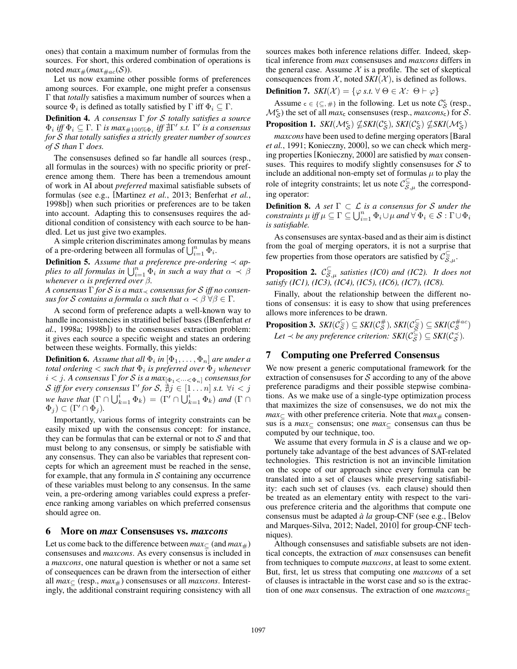ones) that contain a maximum number of formulas from the sources. For short, this ordered combination of operations is noted  $max_{\#}(max_{\#ac}(\mathcal{S}))$ .

Let us now examine other possible forms of preferences among sources. For example, one might prefer a consensus  $\Gamma$  that *totally* satisfies a maximum number of sources when a source  $\Phi_i$  is defined as totally satisfied by  $\Gamma$  iff  $\Phi_i \subseteq \Gamma$ .

**Definition 4.** A consensus  $\Gamma$  for  $S$  totally satisfies a source  $\Phi_i$  *iff*  $\Phi_i \subseteq \Gamma$ .  $\Gamma$  *is max*#100% $\Phi_i$  *iff*  $\sharp \Gamma'$  *s.t.*  $\Gamma'$  *is a consensus for S that totally satisfies a strictly greater number of sources of*  $S$  *than*  $\Gamma$  *does.* 

The consensuses defined so far handle all sources (resp., all formulas in the sources) with no specific priority or preference among them. There has been a tremendous amount of work in AI about *preferred* maximal satisfiable subsets of formulas (see e.g., [Martinez *et al.*, 2013; Benferhat *et al.*, 1998b]) when such priorities or preferences are to be taken into account. Adapting this to consensuses requires the additional condition of consistency with each source to be handled. Let us just give two examples.

A simple criterion discriminates among formulas by means of a pre-ordering between all formulas of  $\bigcup_{i=1}^{n} \Phi_i$ .

**Definition 5.** Assume that a preference pre-ordering  $\prec$  ap*plies to all formulas in*  $\bigcup_{i=1}^{n} \Phi_i$  *in such a way that*  $\alpha \prec \beta$ *whenever*  $\alpha$  *is preferred over*  $\beta$ *.* 

*A consensus*  $\Gamma$  *for*  $S$  *is a max<sub>* $\prec$ *</sub> consensus for*  $S$  *iff no consensus for S contains* a *formula*  $\alpha$  *such that*  $\alpha \prec \beta \ \forall \beta \in \Gamma$ .

A second form of preference adapts a well-known way to handle inconsistencies in stratified belief bases ([Benferhat *et al.*, 1998a; 1998b]) to the consensuses extraction problem: it gives each source a specific weight and states an ordering between these weights. Formally, this yields:

**Definition 6.** Assume that all  $\Phi_i$  in  $[\Phi_1, \ldots, \Phi_n]$  are under a *total ordering*  $\lt$  *such that*  $\Phi_i$  *is preferred over*  $\Phi_j$  *whenever*  $i < j$ *. A consensus*  $\Gamma$  *for*  $S$  *is a max*<sub>[ $\Phi$ 1 $\lt \cdots \lt \Phi$ <sub>n</sub>] *consensus for*</sub> *S iff for every consensus*  $\Gamma'$  *for S*,  $\nexists j \in [1 \dots n]$  *s.t.*  $\forall i < j$ *we have that*  $(\Gamma \cap \bigcup_{k=1}^{i} \Phi_k) = (\Gamma' \cap \bigcup_{k=1}^{i} \Phi_k)$  *and*  $(\Gamma \cap \Phi_k)$  $\Phi_j$ )  $\subset (\Gamma' \cap \Phi_j)$ .

Importantly, various forms of integrity constraints can be easily mixed up with the consensus concept: for instance, they can be formulas that can be external or not to *S* and that must belong to any consensus, or simply be satisfiable with any consensus. They can also be variables that represent concepts for which an agreement must be reached in the sense, for example, that any formula in *S* containing any occurrence of these variables must belong to any consensus. In the same vein, a pre-ordering among variables could express a preference ranking among variables on which preferred consensus should agree on.

#### 6 More on *max* Consensuses vs. *maxcons*

Let us come back to the difference between  $max_{\mathcal{L}}$  (and  $max_{\mathcal{H}}$ ) consensuses and *maxcons*. As every consensus is included in a *maxcons*, one natural question is whether or not a same set of consequences can be drawn from the intersection of either all  $max_{\subset}$  (resp.,  $max_{\neq}$ ) consensuses or all *maxcons*. Interestingly, the additional constraint requiring consistency with all sources makes both inference relations differ. Indeed, skeptical inference from *max* consensuses and *maxcons* differs in the general case. Assume  $X$  is a profile. The set of skeptical consequences from  $X$ , noted  $SKI(X)$ , is defined as follows.

**Definition 7.** *SKI*(*X*) = { $\varphi$  *s.t.*  $\forall \Theta \in \mathcal{X}$ *:*  $\Theta \vdash \varphi$ }

Assume  $c \in \{\subseteq, \#\}$  in the following. Let us note  $\mathcal{C}_{\mathcal{S}}^c$  (resp.,  $\mathcal{M}_{\mathcal{S}}^{\mathsf{c}}$ ) the set of all *max*<sub>c</sub> consensuses (resp., *maxcons*<sub>c</sub>) for  $\overline{\mathcal{S}}$ .  $\textbf{Proposition 1.} \quad SKI(\mathcal{M}_{\mathcal{S}}^{\mathsf{c}}) \nsubseteq SKI(\mathcal{C}_{\mathcal{S}}^{\mathsf{c}}), \; SKI(\mathcal{C}_{\mathcal{S}}^{\mathsf{c}}) \nsubseteq SKI(\mathcal{M}_{\mathcal{S}}^{\mathsf{c}})$ 

*maxcons* have been used to define merging operators[Baral *et al.*, 1991; Konieczny, 2000], so we can check which merging properties [Konieczny, 2000] are satisfied by *max* consensuses. This requires to modify slightly consensuses for *S* to include an additional non-empty set of formulas  $\mu$  to play the role of integrity constraints; let us note  $C_{\overline{S},\mu}^{\subseteq}$  the corresponding operator:

**Definition 8.** A set  $\Gamma \subset \mathcal{L}$  *is a consensus for S under the constraints*  $\mu$  *iff*  $\mu \subseteq \Gamma \subseteq \bigcup_{i=1}^n \Phi_i \cup \mu$  and  $\forall \Phi_i \in \mathcal{S} : \Gamma \cup \Phi_i$ *is satisfiable.*

As consensuses are syntax-based and as their aim is distinct from the goal of merging operators, it is not a surprise that few properties from those operators are satisfied by  $C_{\overline{S},\mu}^{\subseteq}$ .

**Proposition 2.**  $C_{\overline{S},\mu}$  *satisties (IC0) and (IC2). It does not satisfy (IC1), (IC3), (IC4), (IC5), (IC6), (IC7), (IC8).* 

Finally, about the relationship between the different notions of consensus: it is easy to show that using preferences allows more inferences to be drawn.

 $\textbf{Proposition 3.} \ \ \textit{SKI}(\mathcal{C}_{\mathcal{S}}^{\subseteq}) \subseteq \textit{SKI}(\mathcal{C}_{\mathcal{S}}^{\#}) \text{,} \ \ \textit{SKI}(\mathcal{C}_{\mathcal{S}}^{\subseteq}) \subseteq \textit{SKI}(\mathcal{C}_{\mathcal{S}}^{\#ac})$ *Let*  $\prec$  *be any preference criterion:*  $SKI(\mathcal{C}_{\overline{S}}^{\subseteq}) \subseteq SKI(\mathcal{C}_{\mathcal{S}}^{\prec})$ *.* 

# 7 Computing one Preferred Consensus

We now present a generic computational framework for the extraction of consensuses for *S* according to any of the above preference paradigms and their possible stepwise combinations. As we make use of a single-type optimization process that maximizes the size of consensuses, we do not mix the  $max_{\text{ } \subset \text{ }}$  with other preference criteria. Note that  $max_{\text{ } \# \text{ }}$  consensus is a  $max_{\text{C}}$  consensus; one  $max_{\text{C}}$  consensus can thus be computed by our technique, too.

We assume that every formula in  $S$  is a clause and we opportunely take advantage of the best advances of SAT-related technologies. This restriction is not an invincible limitation on the scope of our approach since every formula can be translated into a set of clauses while preserving satisfiability: each such set of clauses (vs. each clause) should then be treated as an elementary entity with respect to the various preference criteria and the algorithms that compute one consensus must be adapted *à la* group-CNF (see e.g., [Belov and Marques-Silva, 2012; Nadel, 2010] for group-CNF techniques).

Although consensuses and satisfiable subsets are not identical concepts, the extraction of *max* consensuses can benefit from techniques to compute *maxcons*, at least to some extent. But, first, let us stress that computing one *maxcons* of a set of clauses is intractable in the worst case and so is the extraction of one *max* consensus. The extraction of one *maxcons*⊂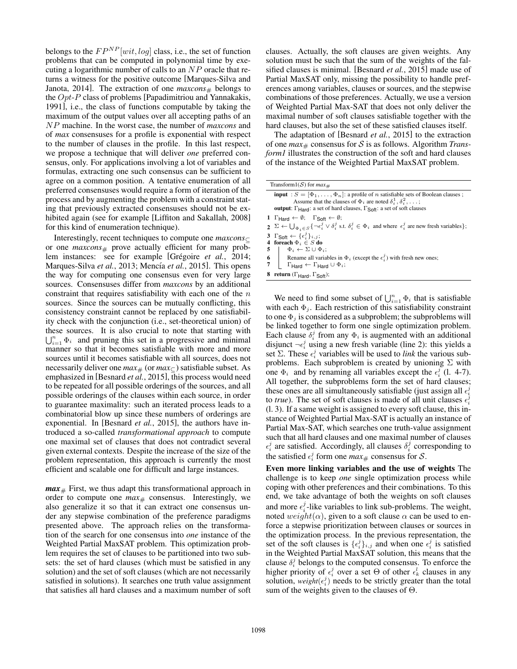belongs to the  $FP^{NP}[wit, log]$  class, i.e., the set of function problems that can be computed in polynomial time by executing a logarithmic number of calls to an *NP* oracle that returns a witness for the positive outcome [Marques-Silva and Janota, 2014]. The extraction of one  $maxcons_{#}$  belongs to the *Opt*-*P* class of problems [Papadimitriou and Yannakakis, 1991], i.e., the class of functions computable by taking the maximum of the output values over all accepting paths of an *NP* machine. In the worst case, the number of *maxcons* and of *max* consensuses for a profile is exponential with respect to the number of clauses in the profile. In this last respect, we propose a technique that will deliver *one* preferred consensus, only. For applications involving a lot of variables and formulas, extracting one such consensus can be sufficient to agree on a common position. A tentative enumeration of all preferred consensuses would require a form of iteration of the process and by augmenting the problem with a constraint stating that previously extracted consensuses should not be exhibited again (see for example [Liffiton and Sakallah, 2008] for this kind of enumeration technique).

Interestingly, recent techniques to compute one *maxcons* ∈ or one  $maxcons_{\#}$  prove actually efficient for many problem instances: see for example [Grégoire et al., 2014; Marques-Silva *et al.*, 2013; Mencía *et al.*, 2015]. This opens the way for computing one consensus even for very large sources. Consensuses differ from *maxcons* by an additional constraint that requires satisfiability with each one of the *n* sources. Since the sources can be mutually conflicting, this consistency constraint cannot be replaced by one satisfiability check with the conjunction (i.e., set-theoretical union) of these sources. It is also crucial to note that starting with  $\bigcup_{i=1}^{n} \Phi_i$  and pruning this set in a progressive and minimal manner so that it becomes satisfiable with more and more sources until it becomes satisfiable with all sources, does not necessarily deliver one  $max_{\pm}$  (or  $max_{\pm}$ ) satisfiable subset. As emphasized in [Besnard *et al.*, 2015], this process would need to be repeated for all possible orderings of the sources, and all possible orderings of the clauses within each source, in order to guarantee maximality: such an iterated process leads to a combinatorial blow up since these numbers of orderings are exponential. In [Besnard *et al.*, 2015], the authors have introduced a so-called *transformational approach* to compute one maximal set of clauses that does not contradict several given external contexts. Despite the increase of the size of the problem representation, this approach is currently the most efficient and scalable one for difficult and large instances.

 $max_{\#}$  First, we thus adapt this transformational approach in order to compute one  $max_{#}$  consensus. Interestingly, we also generalize it so that it can extract one consensus under any stepwise combination of the preference paradigms presented above. The approach relies on the transformation of the search for one consensus into *one* instance of the Weighted Partial MaxSAT problem. This optimization problem requires the set of clauses to be partitioned into two subsets: the set of hard clauses (which must be satisfied in any solution) and the set of soft clauses (which are not necessarily satisfied in solutions). It searches one truth value assignment that satisfies all hard clauses and a maximum number of soft clauses. Actually, the soft clauses are given weights. Any solution must be such that the sum of the weights of the falsified clauses is minimal. [Besnard *et al.*, 2015] made use of Partial MaxSAT only, missing the possibility to handle preferences among variables, clauses or sources, and the stepwise combinations of those preferences. Actually, we use a version of Weighted Partial Max-SAT that does not only deliver the maximal number of soft clauses satisfiable together with the hard clauses, but also the set of these satisfied clauses itself.

The adaptation of [Besnard *et al.*, 2015] to the extraction of one  $max_{\#}$  consensus for S is as follows. Algorithm *Transform1* illustrates the construction of the soft and hard clauses of the instance of the Weighted Partial MaxSAT problem.

|                                                                                               | <b>input</b> : $S = [\Phi_1, \dots, \Phi_n]$ : a profile of <i>n</i> satisfiable sets of Boolean clauses;<br>Assume that the clauses of $\Phi_i$ are noted $\delta_i^1, \delta_i^2, \ldots$ ;<br><b>output</b> : $\Gamma_{\text{Hard}}$ : a set of hard clauses, $\Gamma_{\text{Soft}}$ : a set of soft clauses |  |  |  |  |  |
|-----------------------------------------------------------------------------------------------|-----------------------------------------------------------------------------------------------------------------------------------------------------------------------------------------------------------------------------------------------------------------------------------------------------------------|--|--|--|--|--|
| 1 $\Gamma_{\text{Hard}} \leftarrow \emptyset$ ; $\Gamma_{\text{Soft}} \leftarrow \emptyset$ ; |                                                                                                                                                                                                                                                                                                                 |  |  |  |  |  |
|                                                                                               | $2 \Sigma \leftarrow \bigcup_{\Phi_i \in S} \{\neg \epsilon_i^j \lor \delta_i^j \text{ s.t. } \delta_i^j \in \Phi_i \text{ and where } \epsilon_i^j \text{ are new fresh variables}\};$                                                                                                                         |  |  |  |  |  |
|                                                                                               | 3 $\Gamma_{\text{Soft}} \leftarrow {\epsilon_i^j}_{i,j};$<br>4 foreach $\Phi_i \in S$ do<br>5 $\Phi_i \leftarrow \Sigma \cup \Phi_i;$                                                                                                                                                                           |  |  |  |  |  |
|                                                                                               | 6 Rename all variables in $\Phi_i$ (except the $\epsilon_i^j$ ) with fresh new ones;<br>7 FHard $\leftarrow \Gamma$ Hard $\cup \Phi_i$ ;                                                                                                                                                                        |  |  |  |  |  |

We need to find some subset of  $\bigcup_{i=1}^{n} \Phi_i$  that is satisfiable with each  $\Phi_i$ . Each restriction of this satisfiability constraint to one  $\Phi_j$  is considered as a subproblem; the subproblems will be linked together to form one single optimization problem. Each clause  $\delta_i^j$  from any  $\Phi_i$  is augmented with an additional disjunct  $\neg \epsilon_i^j$  using a new fresh variable (line 2): this yields a set  $\Sigma$ . These  $\epsilon_i^j$  variables will be used to *link* the various subproblems. Each subproblem is created by unioning  $\Sigma$  with one  $\Phi_i$  and by renaming all variables except the  $\epsilon_i^j$  (l. 4-7). All together, the subproblems form the set of hard clauses; these ones are all simultaneously satisfiable (just assign all  $\epsilon_i^j$ ) to *true*). The set of soft clauses is made of all unit clauses  $\epsilon_i^j$ (l. 3). If a same weight is assigned to every soft clause, this instance of Weighted Partial Max-SAT is actually an instance of Partial Max-SAT, which searches one truth-value assignment such that all hard clauses and one maximal number of clauses  $\epsilon_i^j$  are satisfied. Accordingly, all clauses  $\delta_i^j$  corresponding to the satisfied  $\epsilon_i^j$  form one  $max_{\#}$  consensus for *S*.

Even more linking variables and the use of weights The challenge is to keep *one* single optimization process while coping with other preferences and their combinations. To this end, we take advantage of both the weights on soft clauses and more  $\epsilon_i^j$ -like variables to link sub-problems. The weight, noted *weight*( $\alpha$ ), given to a soft clause  $\alpha$  can be used to enforce a stepwise prioritization between clauses or sources in the optimization process. In the previous representation, the set of the soft clauses is  $\{\epsilon_i^j\}_{i,j}$  and when one  $\epsilon_i^j$  is satisfied in the Weighted Partial MaxSAT solution, this means that the clause  $\delta_i^j$  belongs to the computed consensus. To enforce the higher priority of  $\epsilon_i^j$  over a set  $\Theta$  of other  $\epsilon_k^l$  clauses in any solution,  $weight(\epsilon_i^j)$  needs to be strictly greater than the total sum of the weights given to the clauses of  $\Theta$ .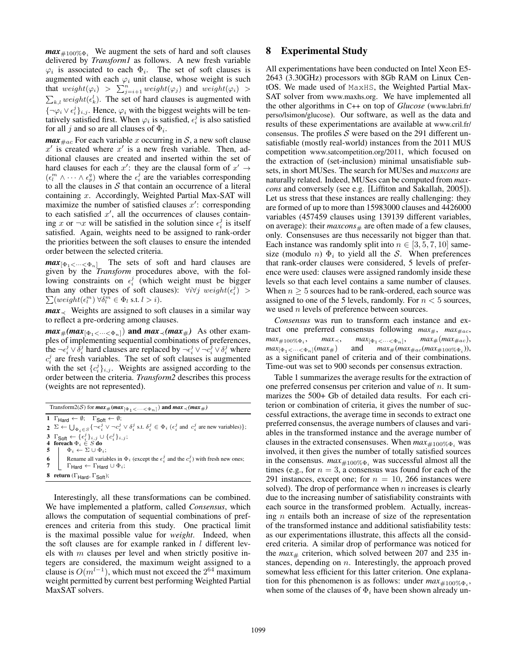$max_{\neq 100\% \Phi_i}$  We augment the sets of hard and soft clauses delivered by *Transform1* as follows. A new fresh variable  $\varphi_i$  is associated to each  $\Phi_i$ . The set of soft clauses is augmented with each  $\varphi_i$  unit clause, whose weight is such that  $weight(\varphi_i) > \sum_{j=i+1}^n weight(\varphi_j)$  and  $weight(\varphi_i) >$  $\sum_{k,l} weight(\epsilon_k^l)$ . The set of hard clauses is augmented with  ${\lbrace \neg \varphi_i \lor \epsilon_i^j \rbrace_{i,j}}$ . Hence,  $\varphi_i$  with the biggest weights will be tentatively satisfied first. When  $\varphi_i$  is satisfied,  $\epsilon_i^j$  is also satisfied for all *j* and so are all clauses of  $\Phi_i$ .

*max*  $_{\text{Hac}}$  For each variable *x* occurring in *S*, a new soft clause  $x'$  is created where  $x'$  is a new fresh variable. Then, additional clauses are created and inserted within the set of hard clauses for each  $x'$ : they are the clausal form of  $x' \rightarrow$  $(\epsilon_l^m \wedge \cdots \wedge \epsilon_p^q)$  where the  $\epsilon_i^j$  are the variables corresponding to all the clauses in *S* that contain an occurrence of a literal containing *x*. Accordingly, Weighted Partial Max-SAT will maximize the number of satisfied clauses  $x'$ : corresponding to each satisfied  $x'$ , all the occurrences of clauses containing *x* or  $\neg x$  will be satisfied in the solution since  $\epsilon_i^j$  is itself satisfied. Again, weights need to be assigned to rank-order the priorities between the soft clauses to ensure the intended order between the selected criteria.

 $max_{[\Phi_1 < \dots < \Phi_n]}$  The sets of soft and hard clauses are given by the *Transform* procedures above, with the following constraints on  $\epsilon_i^j$  (which weight must be bigger than any other types of soft clauses):  $\forall i \forall j$  weight $(\epsilon_i^j)$  >  $\sum (weight(\epsilon_i^m) \ \forall \delta_i^m \in \Phi_l \ \text{s.t.} \ l > i).$ 

 $max_{\leq}$  Weights are assigned to soft clauses in a similar way to reflect a pre-ordering among clauses.

 $max_{\#}(max_{\{\Phi_1 < \cdots < \Phi_n\}})$  and  $max_{\prec}(max_{\#})$  As other examples of implementing sequential combinations of preferences, the  $\neg \epsilon_i^j \lor \delta_i^j$  hard clauses are replaced by  $\neg \epsilon_i^j \lor \neg c_i^j \lor \delta_i^j$  where  $c_i^j$  are fresh variables. The set of soft clauses is augmented with the set  ${c_i^j}_{i,j}$ . Weights are assigned according to the order between the criteria. *Transform2* describes this process (weights are not represented).

| Transform2(S) for $max_{\#}(max_{[\Phi_1 \lt \cdots \lt \Phi_n]})$ and $max_{\prec}(max_{\#})$ |                                                                                                                                                                                                                |  |  |  |  |  |
|------------------------------------------------------------------------------------------------|----------------------------------------------------------------------------------------------------------------------------------------------------------------------------------------------------------------|--|--|--|--|--|
|                                                                                                | 1 $\Gamma_{\text{Hard}} \leftarrow \emptyset$ ; $\Gamma_{\text{Soft}} \leftarrow \emptyset$ ;                                                                                                                  |  |  |  |  |  |
|                                                                                                | 2 $\Sigma \leftarrow \bigcup_{\Phi_i \in S} \{\neg \epsilon_i^j \vee \neg c_i^j \vee \delta_i^j \text{ s.t. } \delta_i^j \in \Phi_i \text{ ( } \epsilon_i^j \text{ and } c_i^j \text{ are new variables)} \};$ |  |  |  |  |  |
|                                                                                                | 3 $\Gamma_{\text{Soft}} \leftarrow {\lbrace \epsilon_i^j \rbrace_{i,j}} \cup {\lbrace c_i^j \rbrace_{i,j}};$                                                                                                   |  |  |  |  |  |
|                                                                                                | 4 foreach $\Phi_i \in S$ do                                                                                                                                                                                    |  |  |  |  |  |
|                                                                                                | 5<br>6<br>Rename all variables in $\Phi_i$ (except the $\epsilon_i^j$ and the $c_i^j$ ) with fresh new ones;<br>7<br>$\Gamma$ Hard $\leftarrow$ $\Gamma$ Hard $\cup$ $\Phi_i$ ;                                |  |  |  |  |  |
|                                                                                                |                                                                                                                                                                                                                |  |  |  |  |  |
|                                                                                                |                                                                                                                                                                                                                |  |  |  |  |  |
|                                                                                                |                                                                                                                                                                                                                |  |  |  |  |  |
|                                                                                                | 8 return ( $\Gamma_{\text{Hard}}$ , $\Gamma_{\text{Soft}}$ );                                                                                                                                                  |  |  |  |  |  |
|                                                                                                |                                                                                                                                                                                                                |  |  |  |  |  |

Interestingly, all these transformations can be combined. We have implemented a platform, called *Consensus*, which allows the computation of sequential combinations of preferences and criteria from this study. One practical limit is the maximal possible value for *weight*. Indeed, when the soft clauses are for example ranked in *l* different levels with *m* clauses per level and when strictly positive integers are considered, the maximum weight assigned to a clause is  $O(m^{l-1})$ , which must not exceed the  $2^{64}$  maximum weight permitted by current best performing Weighted Partial MaxSAT solvers.

# 8 Experimental Study

All experimentations have been conducted on Intel Xeon E5- 2643 (3.30GHz) processors with 8Gb RAM on Linux CentOS. We made used of MaxHS, the Weighted Partial Max-SAT solver from www.maxhs.org. We have implemented all the other algorithms in C++ on top of *Glucose* (www.labri.fr/ perso/lsimon/glucose). Our software, as well as the data and results of these experimentations are available at www.cril.fr/ consensus. The profiles *S* were based on the 291 different unsatisfiable (mostly real-world) instances from the 2011 MUS competition www.satcompetition.org/2011, which focused on the extraction of (set-inclusion) minimal unsatisfiable subsets, in short MUSes. The search for MUSes and *maxcons* are naturally related. Indeed, MUSes can be computed from *maxcons* and conversely (see e.g. [Liffiton and Sakallah, 2005]). Let us stress that these instances are really challenging: they are formed of up to more than 15983000 clauses and 4426000 variables (457459 clauses using 139139 different variables, on average): their  $maxcons$ # are often made of a few clauses, only. Consensuses are thus necessarily not bigger than that. Each instance was randomly split into  $n \in [3, 5, 7, 10]$  samesize (modulo *n*)  $\Phi_i$  to yield all the *S*. When preferences that rank-order clauses were considered, 5 levels of preference were used: clauses were assigned randomly inside these levels so that each level contains a same number of clauses. When  $n \geq 5$  sources had to be rank-ordered, each source was assigned to one of the 5 levels, randomly. For *n <* 5 sources, we used *n* levels of preference between sources.

*Consensus* was run to transform each instance and extract one preferred consensus following  $max_{\#}$ ,  $max_{\#ac}$ ,  $max_{\{\Phi_1 < \dots < \Phi_n\}} \max_{\{\Phi_1 < \dots < \Phi_n\}} \max_{\{\theta_1 < \dots < \Phi_n\}} \max_{\#(\max_{\#ac}(\max_{\#100\% \Phi_i}))}$ ,  $max_{\#(\max_{\#ac}(\max_{\#100\% \Phi_i}))}$  $max_{\#}(max_{\#ac}(max_{\#100\%}\Phi_i)),$ as a significant panel of criteria and of their combinations. Time-out was set to 900 seconds per consensus extraction.

Table 1 summarizes the average results for the extraction of one preferred consensus per criterion and value of *n*. It summarizes the 500+ Gb of detailed data results. For each criterion or combination of criteria, it gives the number of successful extractions, the average time in seconds to extract one preferred consensus, the average numbers of clauses and variables in the transformed instance and the average number of clauses in the extracted consensuses. When  $max_{\#100\% \Phi_i}$  was involved, it then gives the number of totally satisfied sources in the consensus.  $max_{\#100\% \Phi_i}$  was successful almost all the times (e.g., for  $n = 3$ , a consensus was found for each of the 291 instances, except one; for  $n = 10$ , 266 instances were solved). The drop of performance when *n* increases is clearly due to the increasing number of satisfiability constraints with each source in the transformed problem. Actually, increasing *n* entails both an increase of size of the representation of the transformed instance and additional satisfiability tests: as our experimentations illustrate, this affects all the considered criteria. A similar drop of performance was noticed for the  $max_{\#}$  criterion, which solved between 207 and 235 instances, depending on *n*. Interestingly, the approach proved somewhat less efficient for this latter criterion. One explanation for this phenomenon is as follows: under  $max_{\text{\#100\%}\Phi_i}$ , when some of the clauses of  $\Phi_i$  have been shown already un-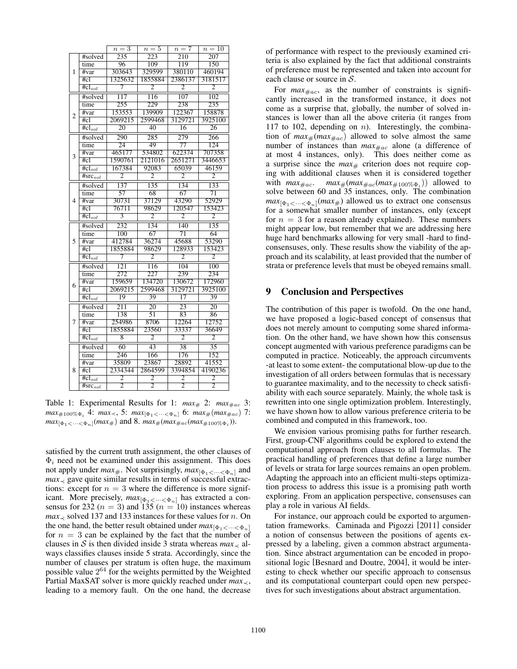|                          |                                  | $n=3$            | $n=5$            | $n=7$           | $n=10$           |
|--------------------------|----------------------------------|------------------|------------------|-----------------|------------------|
|                          | #solved                          | 235              | 223              | 210             | 207              |
|                          | time                             | 96               | 109              | 119             | 150              |
| 1                        | #var                             | 303643           | 329599           | 380110          | 460194           |
|                          | #c1                              | 1325632          | 1855884          | 2386137         | 3181517          |
|                          | $\overline{\text{#cl}_{sol}}$    | 7                | $\overline{2}$   | $\overline{2}$  | $\overline{2}$   |
|                          | #solved                          | $\overline{117}$ | $\frac{116}{ }$  | $\frac{107}{2}$ | $\overline{102}$ |
|                          | time                             | 255              | 229              | 238             | 235              |
| $\overline{c}$           | #var                             | 153553           | 139909           | 122367          | 158878           |
|                          | #c1                              | 2069215          | 2599468          | 3129721         | 3925100          |
|                          | $#cl_{sol}$                      | 20               | $\overline{40}$  | 16              | 26               |
|                          | #solved                          | 290              | 285              | 279             | 266              |
|                          | time                             | $\overline{24}$  | 49               | $\overline{77}$ | 124              |
| $\overline{3}$           | #var                             | 465177           | 534802           | 622374          | 707358           |
|                          | #c1                              | 1590761          | 2121016          | 2651271         | 3446653          |
|                          | $#cl_{sol}$                      | 167384           | 92083            | 65039           | 46159            |
|                          | $\overline{\text{#src}_{sol}}$   | $\overline{2}$   | $\overline{2}$   | $\overline{2}$  | $\overline{2}$   |
|                          | #solved                          | 137              | 135              | 134             | 133              |
|                          | time                             | $\overline{57}$  | 68               | 67              | $\overline{71}$  |
| $\overline{\mathcal{L}}$ | #var                             | 30731            | 37129            | 43290           | 52929            |
|                          | #c1                              | 76711            | 98629            | 120547          | 153423           |
|                          | $#cl_{sol}$                      | $\overline{3}$   | $\overline{2}$   | 2               | $\overline{2}$   |
|                          | #solved                          | 232              | 134              | 140             | 135              |
|                          | time                             | 100              | 67               | 71              | 64               |
| 5                        | #var                             | 412784           | 36274            | 45688           | 53290            |
|                          | #c1                              | 1855884          | 98629            | 128933          | 153423           |
|                          | $\overline{\text{\#cl}_{sol}}$   | 7                | $\overline{2}$   | $\overline{2}$  | $\overline{2}$   |
|                          | #solved                          | $\overline{121}$ | 116              | 104             | $\overline{100}$ |
|                          | time                             | $\overline{272}$ | $\overline{227}$ | 239             | 234              |
| 6                        | #var                             | 159659           | 134720           | 130672          | 172960           |
|                          | #cl                              | 2069215          | 2599468          | 3129721         | 3925100          |
|                          | $#cl_{sol}$                      | 19               | 39               | $\overline{17}$ | 39               |
|                          | #solved                          | $\overline{211}$ | $\frac{1}{20}$   | $\overline{23}$ | $\overline{20}$  |
|                          | time                             | 138              | $\overline{51}$  | 83              | 86               |
| 7                        | #var                             | 254986           | 8706             | 12264           | 12752            |
|                          | #c1                              | 1855884          | 23560            | 33337           | 36649            |
|                          | $#cl_{sol}$                      | $\overline{8}$   | $\overline{2}$   | $\overline{2}$  | $\overline{2}$   |
|                          | #solved                          | 60               | 43               | 38              | $\overline{35}$  |
|                          | time                             | 246              | 166              | 176             | 152              |
|                          | #var                             | 35809            | 23867            | 28892           | 41552            |
| 8                        | #c1                              | 2334344          | 2864599          | 3394854         | 4190236          |
|                          | $\overline{\text{\#cl}_{sol}}$   | $\overline{2}$   | $\overline{2}$   | $\overline{2}$  | $\overline{2}$   |
|                          | $\overline{\# \text{src}_{sol}}$ | $\overline{2}$   | $\overline{2}$   | $\overline{2}$  | $\overline{2}$   |

Table 1: Experimental Results for 1:  $max_{\#} 2$ :  $max_{\#ac} 3$ : *max*<sub>#100%</sub> $\Phi_i$  4: *max*<sub> $\prec$ </sub>, 5: *max*<sub>[ $\Phi_1$ </sub> $\prec \cdots \prec \Phi_n$ ] 6: *max*<sub>#</sub>(*max*<sub>#ac</sub>) 7:  $max_{[\Phi_1 \lt \cdots \lt \Phi_n]}(max_{\#})$  and 8.  $max_{\#}(max_{\#ac}(max_{\#100\% \Phi_i})).$ 

satisfied by the current truth assignment, the other clauses of  $\Phi_i$  need not be examined under this assignment. This does not apply under  $max_{\#}$ . Not surprisingly,  $max_{[\Phi_1 \lt \cdots \lt \Phi_n]}$  and  $max_{\leq}$  gave quite similar results in terms of successful extractions: except for  $n = 3$  where the difference is more significant. More precisely,  $max_{[\Phi_1 \lt \cdots \lt \Phi_n]}$  has extracted a consensus for 232 ( $n = 3$ ) and 135 ( $n = 10$ ) instances whereas  $max_{\leq}$  solved 137 and 133 instances for these values for *n*. On the one hand, the better result obtained under  $max_{[\Phi_1 \lt \cdots \lt \Phi_n]}$ for  $n = 3$  can be explained by the fact that the number of clauses in *S* is then divided inside 3 strata whereas  $max_{\leq}$  always classifies clauses inside 5 strata. Accordingly, since the number of clauses per stratum is often huge, the maximum possible value  $2^{64}$  for the weights permitted by the Weighted Partial MaxSAT solver is more quickly reached under  $max_{\leq x}$ , leading to a memory fault. On the one hand, the decrease of performance with respect to the previously examined criteria is also explained by the fact that additional constraints of preference must be represented and taken into account for each clause or source in *S*.

For  $max_{\#ac}$ , as the number of constraints is significantly increased in the transformed instance, it does not come as a surprise that, globally, the number of solved instances is lower than all the above criteria (it ranges from 117 to 102, depending on *n*). Interestingly, the combination of  $max_{\#}(max_{\#ac})$  allowed to solve almost the same number of instances than  $max_{\#ac}$  alone (a difference of at most 4 instances, only). This does neither come as a surprise since the  $max_{\#}$  criterion does not require coping with additional clauses when it is considered together with  $max_{\text{#ac}}$ .  $max_{\text{#}(max_{\text{#ac}}(max_{\text{#100\%}\Phi_i}))$  allowed to solve between 60 and 35 instances, only. The combination  $max_{[\Phi_1 \lt \cdots \lt \Phi_n]}(max_{\#})$  allowed us to extract one consensus for a somewhat smaller number of instances, only (except for  $n = 3$  for a reason already explained). These numbers might appear low, but remember that we are addressing here huge hard benchmarks allowing for very small -hard to findconsensuses, only. These results show the viability of the approach and its scalability, at least provided that the number of strata or preference levels that must be obeyed remains small.

## 9 Conclusion and Perspectives

The contribution of this paper is twofold. On the one hand, we have proposed a logic-based concept of consensus that does not merely amount to computing some shared information. On the other hand, we have shown how this consensus concept augmented with various preference paradigms can be computed in practice. Noticeably, the approach circumvents -at least to some extent- the computational blow-up due to the investigation of all orders between formulas that is necessary to guarantee maximality, and to the necessity to check satisfiability with each source separately. Mainly, the whole task is rewritten into one single optimization problem. Interestingly, we have shown how to allow various preference criteria to be combined and computed in this framework, too.

We envision various promising paths for further research. First, group-CNF algorithms could be explored to extend the computational approach from clauses to all formulas. The practical handling of preferences that define a large number of levels or strata for large sources remains an open problem. Adapting the approach into an efficient multi-steps optimization process to address this issue is a promising path worth exploring. From an application perspective, consensuses can play a role in various AI fields.

For instance, our approach could be exported to argumentation frameworks. Caminada and Pigozzi [2011] consider a notion of consensus between the positions of agents expressed by a labeling, given a common abstract argumentation. Since abstract argumentation can be encoded in propositional logic [Besnard and Doutre, 2004], it would be interesting to check whether our specific approach to consensus and its computational counterpart could open new perspectives for such investigations about abstract argumentation.